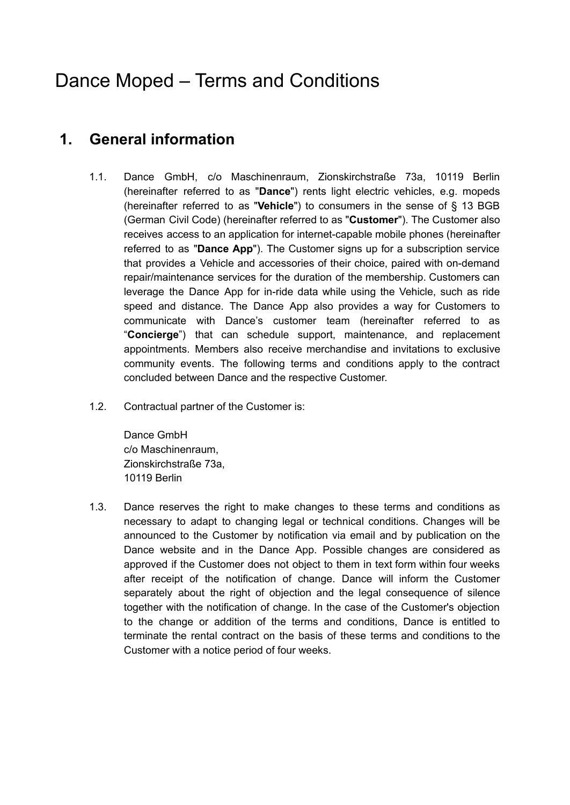# Dance Moped – Terms and Conditions

# **1. General information**

- 1.1. Dance GmbH, c/o Maschinenraum, Zionskirchstraße 73a, 10119 Berlin (hereinafter referred to as "**Dance**") rents light electric vehicles, e.g. mopeds (hereinafter referred to as "**Vehicle**") to consumers in the sense of § 13 BGB (German Civil Code) (hereinafter referred to as "**Customer**"). The Customer also receives access to an application for internet-capable mobile phones (hereinafter referred to as "**Dance App**"). The Customer signs up for a subscription service that provides a Vehicle and accessories of their choice, paired with on-demand repair/maintenance services for the duration of the membership. Customers can leverage the Dance App for in-ride data while using the Vehicle, such as ride speed and distance. The Dance App also provides a way for Customers to communicate with Dance's customer team (hereinafter referred to as "**Concierge**") that can schedule support, maintenance, and replacement appointments. Members also receive merchandise and invitations to exclusive community events. The following terms and conditions apply to the contract concluded between Dance and the respective Customer.
- 1.2. Contractual partner of the Customer is:

Dance GmbH c/o Maschinenraum, Zionskirchstraße 73a, 10119 Berlin

1.3. Dance reserves the right to make changes to these terms and conditions as necessary to adapt to changing legal or technical conditions. Changes will be announced to the Customer by notification via email and by publication on the Dance website and in the Dance App. Possible changes are considered as approved if the Customer does not object to them in text form within four weeks after receipt of the notification of change. Dance will inform the Customer separately about the right of objection and the legal consequence of silence together with the notification of change. In the case of the Customer's objection to the change or addition of the terms and conditions, Dance is entitled to terminate the rental contract on the basis of these terms and conditions to the Customer with a notice period of four weeks.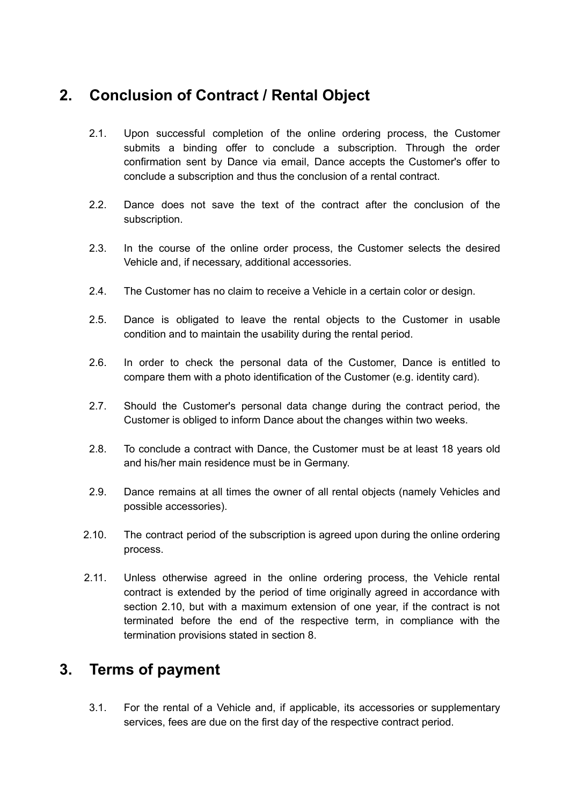# **2. Conclusion of Contract / Rental Object**

- 2.1. Upon successful completion of the online ordering process, the Customer submits a binding offer to conclude a subscription. Through the order confirmation sent by Dance via email, Dance accepts the Customer's offer to conclude a subscription and thus the conclusion of a rental contract.
- 2.2. Dance does not save the text of the contract after the conclusion of the subscription.
- 2.3. In the course of the online order process, the Customer selects the desired Vehicle and, if necessary, additional accessories.
- 2.4. The Customer has no claim to receive a Vehicle in a certain color or design.
- 2.5. Dance is obligated to leave the rental objects to the Customer in usable condition and to maintain the usability during the rental period.
- 2.6. In order to check the personal data of the Customer, Dance is entitled to compare them with a photo identification of the Customer (e.g. identity card).
- 2.7. Should the Customer's personal data change during the contract period, the Customer is obliged to inform Dance about the changes within two weeks.
- 2.8. To conclude a contract with Dance, the Customer must be at least 18 years old and his/her main residence must be in Germany.
- 2.9. Dance remains at all times the owner of all rental objects (namely Vehicles and possible accessories).
- 2.10. The contract period of the subscription is agreed upon during the online ordering process.
- 2.11. Unless otherwise agreed in the online ordering process, the Vehicle rental contract is extended by the period of time originally agreed in accordance with section 2.10, but with a maximum extension of one year, if the contract is not terminated before the end of the respective term, in compliance with the termination provisions stated in section 8.

#### **3. Terms of payment**

3.1. For the rental of a Vehicle and, if applicable, its accessories or supplementary services, fees are due on the first day of the respective contract period.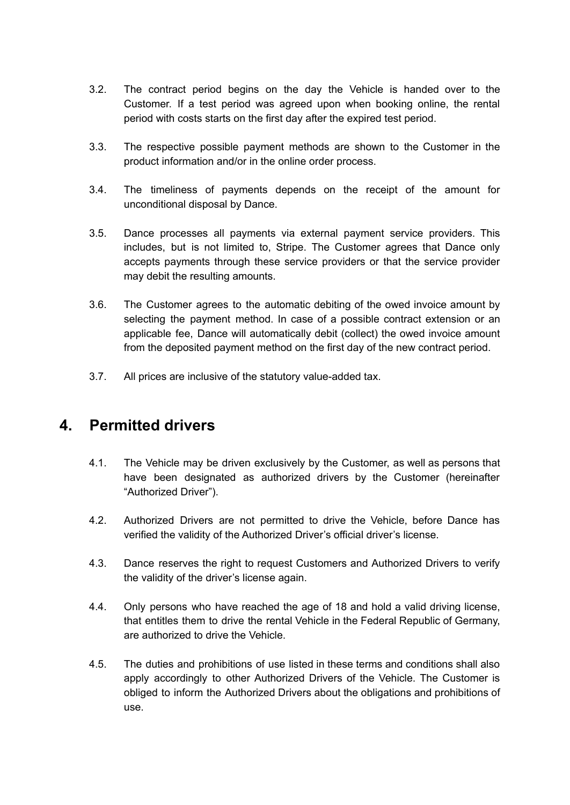- 3.2. The contract period begins on the day the Vehicle is handed over to the Customer. If a test period was agreed upon when booking online, the rental period with costs starts on the first day after the expired test period.
- 3.3. The respective possible payment methods are shown to the Customer in the product information and/or in the online order process.
- 3.4. The timeliness of payments depends on the receipt of the amount for unconditional disposal by Dance.
- 3.5. Dance processes all payments via external payment service providers. This includes, but is not limited to, Stripe. The Customer agrees that Dance only accepts payments through these service providers or that the service provider may debit the resulting amounts.
- 3.6. The Customer agrees to the automatic debiting of the owed invoice amount by selecting the payment method. In case of a possible contract extension or an applicable fee, Dance will automatically debit (collect) the owed invoice amount from the deposited payment method on the first day of the new contract period.
- 3.7. All prices are inclusive of the statutory value-added tax.

#### **4. Permitted drivers**

- 4.1. The Vehicle may be driven exclusively by the Customer, as well as persons that have been designated as authorized drivers by the Customer (hereinafter "Authorized Driver").
- 4.2. Authorized Drivers are not permitted to drive the Vehicle, before Dance has verified the validity of the Authorized Driver's official driver's license.
- 4.3. Dance reserves the right to request Customers and Authorized Drivers to verify the validity of the driver's license again.
- 4.4. Only persons who have reached the age of 18 and hold a valid driving license, that entitles them to drive the rental Vehicle in the Federal Republic of Germany, are authorized to drive the Vehicle.
- 4.5. The duties and prohibitions of use listed in these terms and conditions shall also apply accordingly to other Authorized Drivers of the Vehicle. The Customer is obliged to inform the Authorized Drivers about the obligations and prohibitions of use.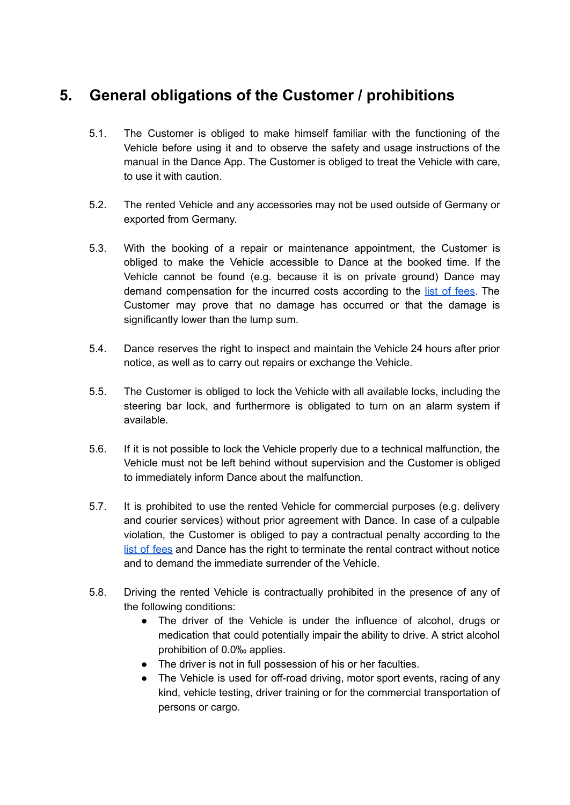# **5. General obligations of the Customer / prohibitions**

- 5.1. The Customer is obliged to make himself familiar with the functioning of the Vehicle before using it and to observe the safety and usage instructions of the manual in the Dance App. The Customer is obliged to treat the Vehicle with care, to use it with caution.
- 5.2. The rented Vehicle and any accessories may not be used outside of Germany or exported from Germany.
- 5.3. With the booking of a repair or maintenance appointment, the Customer is obliged to make the Vehicle accessible to Dance at the booked time. If the Vehicle cannot be found (e.g. because it is on private ground) Dance may demand compensation for the incurred costs according to the list of [fees.](https://knowledge.s.dance.app/Dance-Moped-Fee-List-EN.pdf) The Customer may prove that no damage has occurred or that the damage is significantly lower than the lump sum.
- 5.4. Dance reserves the right to inspect and maintain the Vehicle 24 hours after prior notice, as well as to carry out repairs or exchange the Vehicle.
- 5.5. The Customer is obliged to lock the Vehicle with all available locks, including the steering bar lock, and furthermore is obligated to turn on an alarm system if available.
- 5.6. If it is not possible to lock the Vehicle properly due to a technical malfunction, the Vehicle must not be left behind without supervision and the Customer is obliged to immediately inform Dance about the malfunction.
- 5.7. It is prohibited to use the rented Vehicle for commercial purposes (e.g. delivery and courier services) without prior agreement with Dance. In case of a culpable violation, the Customer is obliged to pay a contractual penalty according to the list of [fees](https://knowledge.s.dance.app/Dance-Moped-Fee-List-EN.pdf) and Dance has the right to terminate the rental contract without notice and to demand the immediate surrender of the Vehicle.
- 5.8. Driving the rented Vehicle is contractually prohibited in the presence of any of the following conditions:
	- The driver of the Vehicle is under the influence of alcohol, drugs or medication that could potentially impair the ability to drive. A strict alcohol prohibition of 0.0‰ applies.
	- The driver is not in full possession of his or her faculties.
	- The Vehicle is used for off-road driving, motor sport events, racing of any kind, vehicle testing, driver training or for the commercial transportation of persons or cargo.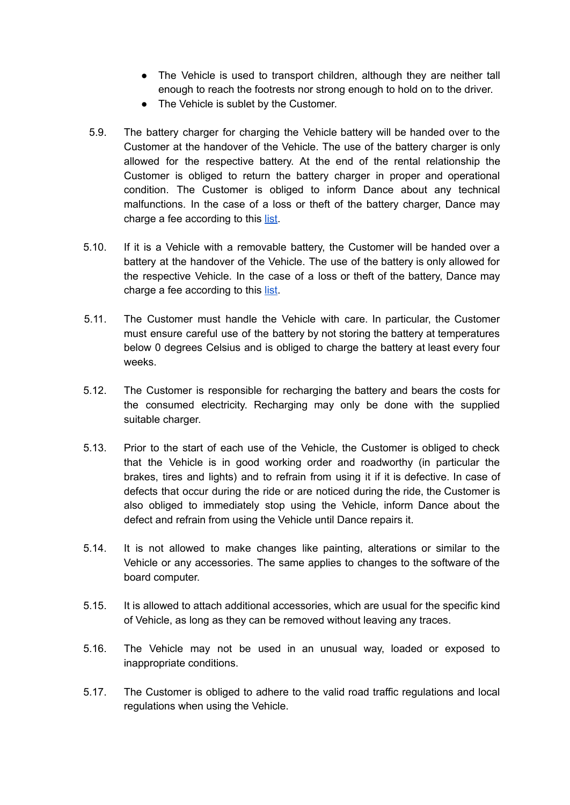- The Vehicle is used to transport children, although they are neither tall enough to reach the footrests nor strong enough to hold on to the driver.
- The Vehicle is sublet by the Customer.
- 5.9. The battery charger for charging the Vehicle battery will be handed over to the Customer at the handover of the Vehicle. The use of the battery charger is only allowed for the respective battery. At the end of the rental relationship the Customer is obliged to return the battery charger in proper and operational condition. The Customer is obliged to inform Dance about any technical malfunctions. In the case of a loss or theft of the battery charger, Dance may charge a fee according to this [list](https://knowledge.s.dance.app/Dance-Moped-Fee-List-EN.pdf).
- 5.10. If it is a Vehicle with a removable battery, the Customer will be handed over a battery at the handover of the Vehicle. The use of the battery is only allowed for the respective Vehicle. In the case of a loss or theft of the battery, Dance may charge a fee according to this [list](https://knowledge.s.dance.app/Dance-Moped-Fee-List-EN.pdf).
- 5.11. The Customer must handle the Vehicle with care. In particular, the Customer must ensure careful use of the battery by not storing the battery at temperatures below 0 degrees Celsius and is obliged to charge the battery at least every four weeks.
- 5.12. The Customer is responsible for recharging the battery and bears the costs for the consumed electricity. Recharging may only be done with the supplied suitable charger.
- 5.13. Prior to the start of each use of the Vehicle, the Customer is obliged to check that the Vehicle is in good working order and roadworthy (in particular the brakes, tires and lights) and to refrain from using it if it is defective. In case of defects that occur during the ride or are noticed during the ride, the Customer is also obliged to immediately stop using the Vehicle, inform Dance about the defect and refrain from using the Vehicle until Dance repairs it.
- 5.14. It is not allowed to make changes like painting, alterations or similar to the Vehicle or any accessories. The same applies to changes to the software of the board computer.
- 5.15. It is allowed to attach additional accessories, which are usual for the specific kind of Vehicle, as long as they can be removed without leaving any traces.
- 5.16. The Vehicle may not be used in an unusual way, loaded or exposed to inappropriate conditions.
- 5.17. The Customer is obliged to adhere to the valid road traffic regulations and local regulations when using the Vehicle.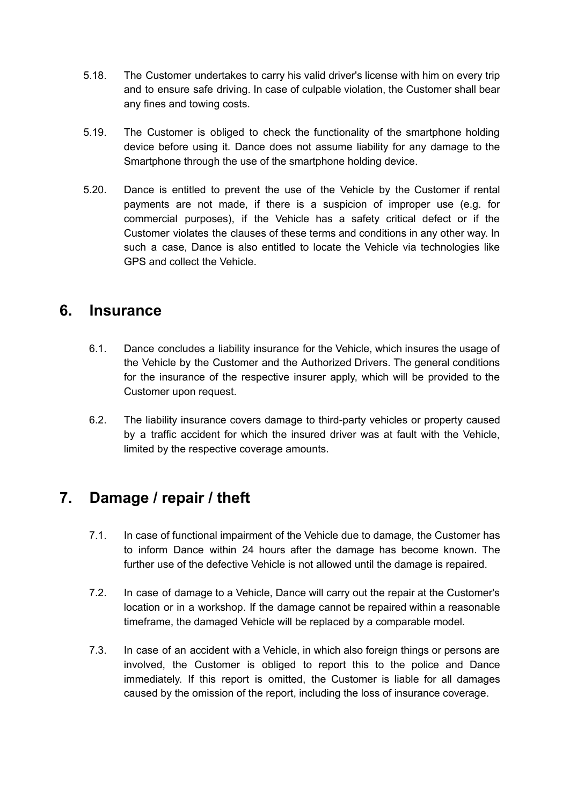- 5.18. The Customer undertakes to carry his valid driver's license with him on every trip and to ensure safe driving. In case of culpable violation, the Customer shall bear any fines and towing costs.
- 5.19. The Customer is obliged to check the functionality of the smartphone holding device before using it. Dance does not assume liability for any damage to the Smartphone through the use of the smartphone holding device.
- 5.20. Dance is entitled to prevent the use of the Vehicle by the Customer if rental payments are not made, if there is a suspicion of improper use (e.g. for commercial purposes), if the Vehicle has a safety critical defect or if the Customer violates the clauses of these terms and conditions in any other way. In such a case, Dance is also entitled to locate the Vehicle via technologies like GPS and collect the Vehicle.

#### **6. Insurance**

- 6.1. Dance concludes a liability insurance for the Vehicle, which insures the usage of the Vehicle by the Customer and the Authorized Drivers. The general conditions for the insurance of the respective insurer apply, which will be provided to the Customer upon request.
- 6.2. The liability insurance covers damage to third-party vehicles or property caused by a traffic accident for which the insured driver was at fault with the Vehicle, limited by the respective coverage amounts.

# **7. Damage / repair / theft**

- 7.1. In case of functional impairment of the Vehicle due to damage, the Customer has to inform Dance within 24 hours after the damage has become known. The further use of the defective Vehicle is not allowed until the damage is repaired.
- 7.2. In case of damage to a Vehicle, Dance will carry out the repair at the Customer's location or in a workshop. If the damage cannot be repaired within a reasonable timeframe, the damaged Vehicle will be replaced by a comparable model.
- 7.3. In case of an accident with a Vehicle, in which also foreign things or persons are involved, the Customer is obliged to report this to the police and Dance immediately. If this report is omitted, the Customer is liable for all damages caused by the omission of the report, including the loss of insurance coverage.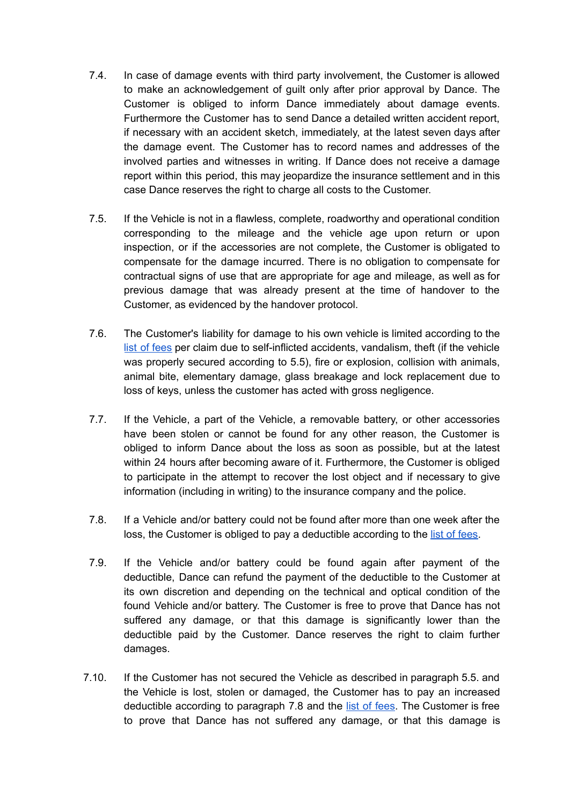- 7.4. In case of damage events with third party involvement, the Customer is allowed to make an acknowledgement of guilt only after prior approval by Dance. The Customer is obliged to inform Dance immediately about damage events. Furthermore the Customer has to send Dance a detailed written accident report, if necessary with an accident sketch, immediately, at the latest seven days after the damage event. The Customer has to record names and addresses of the involved parties and witnesses in writing. If Dance does not receive a damage report within this period, this may jeopardize the insurance settlement and in this case Dance reserves the right to charge all costs to the Customer.
- 7.5. If the Vehicle is not in a flawless, complete, roadworthy and operational condition corresponding to the mileage and the vehicle age upon return or upon inspection, or if the accessories are not complete, the Customer is obligated to compensate for the damage incurred. There is no obligation to compensate for contractual signs of use that are appropriate for age and mileage, as well as for previous damage that was already present at the time of handover to the Customer, as evidenced by the handover protocol.
- 7.6. The Customer's liability for damage to his own vehicle is limited according to the list of [fees](https://knowledge.s.dance.app/Dance-Moped-Fee-List-EN.pdf) per claim due to self-inflicted accidents, vandalism, theft (if the vehicle was properly secured according to 5.5), fire or explosion, collision with animals, animal bite, elementary damage, glass breakage and lock replacement due to loss of keys, unless the customer has acted with gross negligence.
- 7.7. If the Vehicle, a part of the Vehicle, a removable battery, or other accessories have been stolen or cannot be found for any other reason, the Customer is obliged to inform Dance about the loss as soon as possible, but at the latest within 24 hours after becoming aware of it. Furthermore, the Customer is obliged to participate in the attempt to recover the lost object and if necessary to give information (including in writing) to the insurance company and the police.
- 7.8. If a Vehicle and/or battery could not be found after more than one week after the loss, the Customer is obliged to pay a deductible according to the list of [fees.](https://knowledge.s.dance.app/Dance-Moped-Fee-List-EN.pdf)
- 7.9. If the Vehicle and/or battery could be found again after payment of the deductible, Dance can refund the payment of the deductible to the Customer at its own discretion and depending on the technical and optical condition of the found Vehicle and/or battery. The Customer is free to prove that Dance has not suffered any damage, or that this damage is significantly lower than the deductible paid by the Customer. Dance reserves the right to claim further damages.
- 7.10. If the Customer has not secured the Vehicle as described in paragraph 5.5. and the Vehicle is lost, stolen or damaged, the Customer has to pay an increased deductible according to paragraph 7.8 and the list of [fees](https://knowledge.s.dance.app/Dance-Moped-Fee-List-EN.pdf). The Customer is free to prove that Dance has not suffered any damage, or that this damage is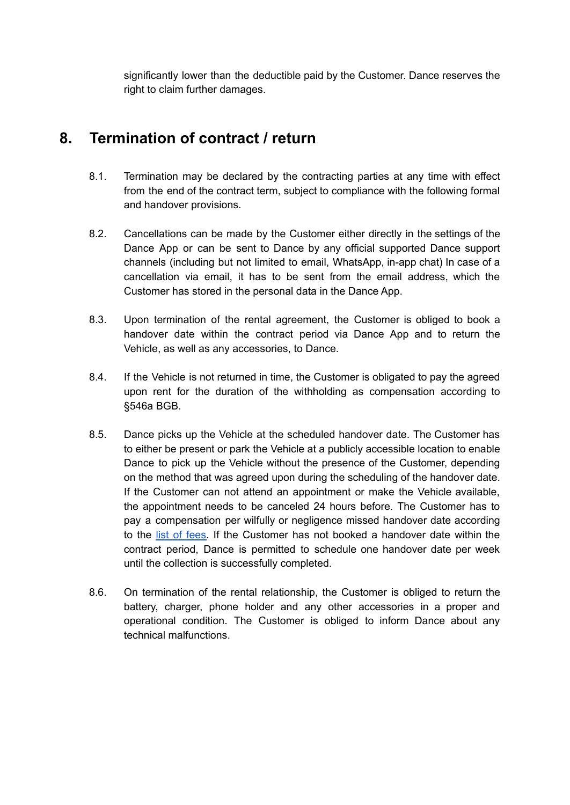significantly lower than the deductible paid by the Customer. Dance reserves the right to claim further damages.

# **8. Termination of contract / return**

- 8.1. Termination may be declared by the contracting parties at any time with effect from the end of the contract term, subject to compliance with the following formal and handover provisions.
- 8.2. Cancellations can be made by the Customer either directly in the settings of the Dance App or can be sent to Dance by any official supported Dance support channels (including but not limited to email, WhatsApp, in-app chat) In case of a cancellation via email, it has to be sent from the email address, which the Customer has stored in the personal data in the Dance App.
- 8.3. Upon termination of the rental agreement, the Customer is obliged to book a handover date within the contract period via Dance App and to return the Vehicle, as well as any accessories, to Dance.
- 8.4. If the Vehicle is not returned in time, the Customer is obligated to pay the agreed upon rent for the duration of the withholding as compensation according to §546a BGB.
- 8.5. Dance picks up the Vehicle at the scheduled handover date. The Customer has to either be present or park the Vehicle at a publicly accessible location to enable Dance to pick up the Vehicle without the presence of the Customer, depending on the method that was agreed upon during the scheduling of the handover date. If the Customer can not attend an appointment or make the Vehicle available, the appointment needs to be canceled 24 hours before. The Customer has to pay a compensation per wilfully or negligence missed handover date according to the list of [fees.](https://knowledge.s.dance.app/Dance-Moped-Fee-List-EN.pdf) If the Customer has not booked a handover date within the contract period, Dance is permitted to schedule one handover date per week until the collection is successfully completed.
- 8.6. On termination of the rental relationship, the Customer is obliged to return the battery, charger, phone holder and any other accessories in a proper and operational condition. The Customer is obliged to inform Dance about any technical malfunctions.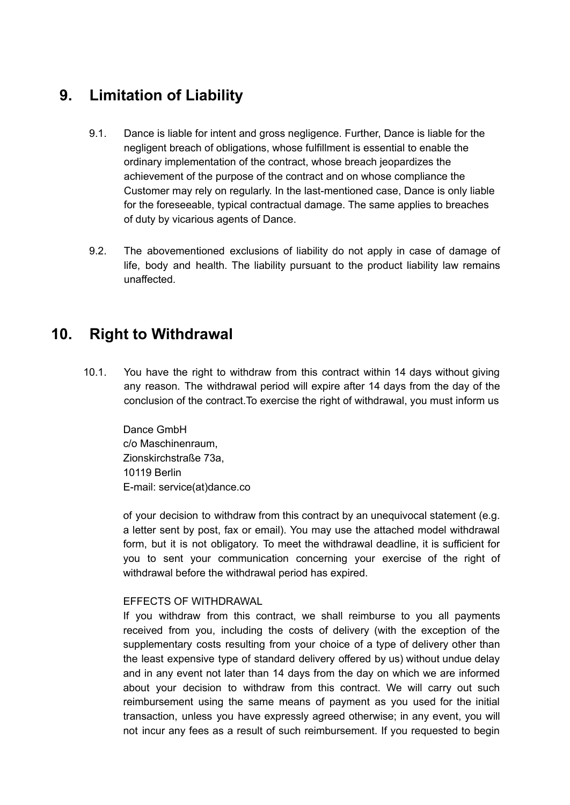## **9. Limitation of Liability**

- 9.1. Dance is liable for intent and gross negligence. Further, Dance is liable for the negligent breach of obligations, whose fulfillment is essential to enable the ordinary implementation of the contract, whose breach jeopardizes the achievement of the purpose of the contract and on whose compliance the Customer may rely on regularly. In the last-mentioned case, Dance is only liable for the foreseeable, typical contractual damage. The same applies to breaches of duty by vicarious agents of Dance.
- 9.2. The abovementioned exclusions of liability do not apply in case of damage of life, body and health. The liability pursuant to the product liability law remains unaffected.

## **10. Right to Withdrawal**

10.1. You have the right to withdraw from this contract within 14 days without giving any reason. The withdrawal period will expire after 14 days from the day of the conclusion of the contract.To exercise the right of withdrawal, you must inform us

Dance GmbH c/o Maschinenraum, Zionskirchstraße 73a, 10119 Berlin E-mail: service(at)dance.co

of your decision to withdraw from this contract by an unequivocal statement (e.g. a letter sent by post, fax or email). You may use the attached model withdrawal form, but it is not obligatory. To meet the withdrawal deadline, it is sufficient for you to sent your communication concerning your exercise of the right of withdrawal before the withdrawal period has expired.

#### EFFECTS OF WITHDRAWAL

If you withdraw from this contract, we shall reimburse to you all payments received from you, including the costs of delivery (with the exception of the supplementary costs resulting from your choice of a type of delivery other than the least expensive type of standard delivery offered by us) without undue delay and in any event not later than 14 days from the day on which we are informed about your decision to withdraw from this contract. We will carry out such reimbursement using the same means of payment as you used for the initial transaction, unless you have expressly agreed otherwise; in any event, you will not incur any fees as a result of such reimbursement. If you requested to begin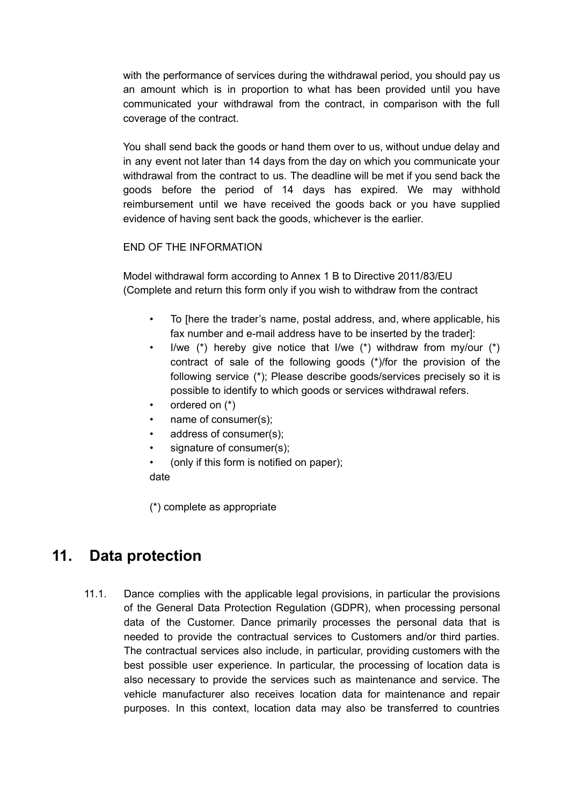with the performance of services during the withdrawal period, you should pay us an amount which is in proportion to what has been provided until you have communicated your withdrawal from the contract, in comparison with the full coverage of the contract.

You shall send back the goods or hand them over to us, without undue delay and in any event not later than 14 days from the day on which you communicate your withdrawal from the contract to us. The deadline will be met if you send back the goods before the period of 14 days has expired. We may withhold reimbursement until we have received the goods back or you have supplied evidence of having sent back the goods, whichever is the earlier.

#### END OF THE INFORMATION

Model withdrawal form according to Annex 1 B to Directive 2011/83/EU (Complete and return this form only if you wish to withdraw from the contract

- To [here the trader's name, postal address, and, where applicable, his fax number and e-mail address have to be inserted by the trader]:
- I/we  $(*)$  hereby give notice that I/we  $(*)$  withdraw from my/our  $(*)$ contract of sale of the following goods (\*)/for the provision of the following service (\*); Please describe goods/services precisely so it is possible to identify to which goods or services withdrawal refers.
- ordered on (\*)
- name of consumer(s):
- address of consumer(s);
- signature of consumer(s):
- (only if this form is notified on paper);

date

(\*) complete as appropriate

#### **11. Data protection**

11.1. Dance complies with the applicable legal provisions, in particular the provisions of the General Data Protection Regulation (GDPR), when processing personal data of the Customer. Dance primarily processes the personal data that is needed to provide the contractual services to Customers and/or third parties. The contractual services also include, in particular, providing customers with the best possible user experience. In particular, the processing of location data is also necessary to provide the services such as maintenance and service. The vehicle manufacturer also receives location data for maintenance and repair purposes. In this context, location data may also be transferred to countries